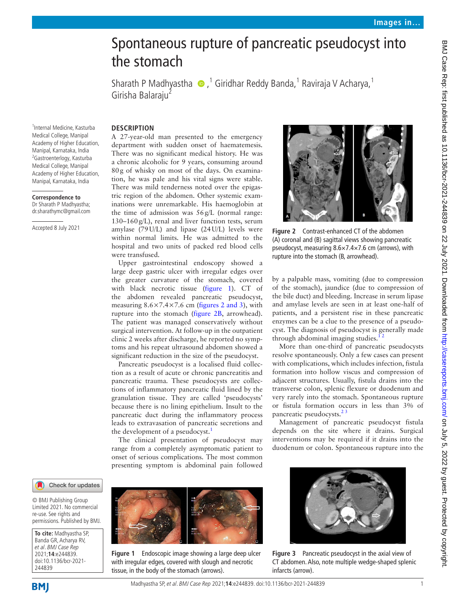# Spontaneous rupture of pancreatic pseudocyst into the stomach

Sharath P Madhyastha  $\bigcirc$  ,<sup>1</sup> Giridhar Reddy Banda,<sup>1</sup> Raviraja V Acharya,<sup>1</sup> Girisha Balaraju<sup>2</sup>

1 Internal Medicine, Kasturba Medical College, Manipal Academy of Higher Education, Manipal, Karnataka, India <sup>2</sup> Gastroenterlogy, Kasturba Medical College, Manipal Academy of Higher Education, Manipal, Karnataka, India

**Correspondence to** Dr Sharath P Madhyastha; dr.sharathymc@gmail.com

Accepted 8 July 2021

## **DESCRIPTION**

A 27-year-old man presented to the emergency department with sudden onset of haematemesis. There was no significant medical history. He was a chronic alcoholic for 9 years, consuming around 80g of whisky on most of the days. On examination, he was pale and his vital signs were stable. There was mild tenderness noted over the epigastric region of the abdomen. Other systemic examinations were unremarkable. His haemoglobin at the time of admission was 56g/L (normal range: 130–160g/L), renal and liver function tests, serum amylase (79U/L) and lipase (24U/L) levels were within normal limits. He was admitted to the hospital and two units of packed red blood cells were transfused.

Upper gastrointestinal endoscopy showed a large deep gastric ulcer with irregular edges over the greater curvature of the stomach, covered with black necrotic tissue ([figure](#page-0-0) 1). CT of the abdomen revealed pancreatic pseudocyst, measuring  $8.6 \times 7.4 \times 7.6$  cm (figures [2 and 3\)](#page-0-1), with rupture into the stomach ([figure](#page-0-1) 2B, arrowhead). The patient was managed conservatively without surgical intervention. At follow-up in the outpatient clinic 2 weeks after discharge, he reported no symptoms and his repeat ultrasound abdomen showed a significant reduction in the size of the pseudocyst.

Pancreatic pseudocyst is a localised fluid collection as a result of acute or chronic pancreatitis and pancreatic trauma. These pseudocysts are collections of inflammatory pancreatic fluid lined by the granulation tissue. They are called 'pseudocysts' because there is no lining epithelium. Insult to the pancreatic duct during the inflammatory process leads to extravasation of pancreatic secretions and the development of a pseudocyst.<sup>[1](#page-1-0)</sup>

The clinical presentation of pseudocyst may range from a completely asymptomatic patient to onset of serious complications. The most common presenting symptom is abdominal pain followed





**To cite:** Madhyastha SP, Banda GR, Acharya RV, et al. BMJ Case Rep 2021;**14**:e244839. doi:10.1136/bcr-2021- 244839

<span id="page-0-0"></span>

**Figure 1** Endoscopic image showing a large deep ulcer with irregular edges, covered with slough and necrotic tissue, in the body of the stomach (arrows).



**Figure 2** Contrast-enhanced CT of the abdomen (A) coronal and (B) sagittal views showing pancreatic pseudocyst, measuring 8.6×7.4×7.6 cm (arrows), with rupture into the stomach (B, arrowhead).

<span id="page-0-1"></span>by a palpable mass, vomiting (due to compression of the stomach), jaundice (due to compression of the bile duct) and bleeding. Increase in serum lipase and amylase levels are seen in at least one-half of patients, and a persistent rise in these pancreatic enzymes can be a clue to the presence of a pseudocyst. The diagnosis of pseudocyst is generally made through abdominal imaging studies.<sup>12</sup>

More than one-third of pancreatic pseudocysts resolve spontaneously. Only a few cases can present with complications, which includes infection, fistula formation into hollow viscus and compression of adjacent structures. Usually, fistula drains into the transverse colon, splenic flexure or duodenum and very rarely into the stomach. Spontaneous rupture or fistula formation occurs in less than 3% of pancreatic pseudocysts.<sup>23</sup>

Management of pancreatic pseudocyst fistula depends on the site where it drains. Surgical interventions may be required if it drains into the duodenum or colon. Spontaneous rupture into the



**Figure 3** Pancreatic pseudocyst in the axial view of CT abdomen. Also, note multiple wedge-shaped splenic infarcts (arrow).